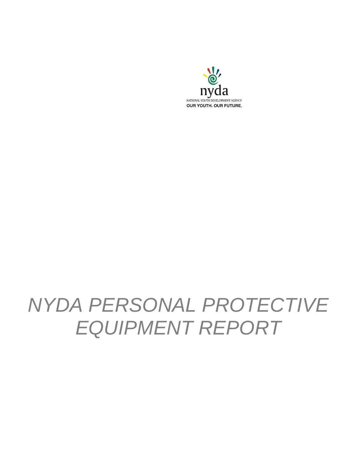

# *NYDA PERSONAL PROTECTIVE EQUIPMENT REPORT*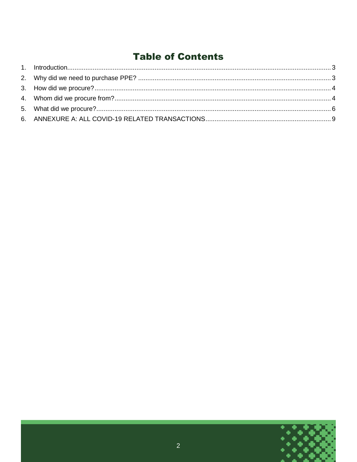## **Table of Contents**

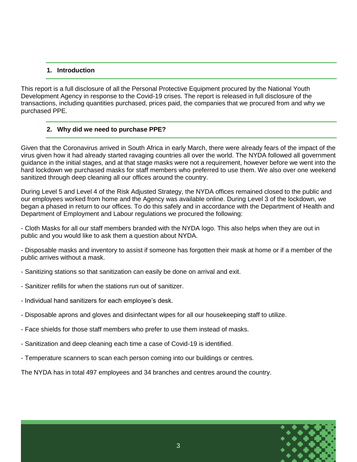#### **1. Introduction**

<span id="page-2-0"></span>This report is a full disclosure of all the Personal Protective Equipment procured by the National Youth Development Agency in response to the Covid-19 crises. The report is released in full disclosure of the transactions, including quantities purchased, prices paid, the companies that we procured from and why we purchased PPE.

#### **2. Why did we need to purchase PPE?**

<span id="page-2-1"></span>Given that the Coronavirus arrived in South Africa in early March, there were already fears of the impact of the virus given how it had already started ravaging countries all over the world. The NYDA followed all government guidance in the initial stages, and at that stage masks were not a requirement, however before we went into the hard lockdown we purchased masks for staff members who preferred to use them. We also over one weekend sanitized through deep cleaning all our offices around the country.

During Level 5 and Level 4 of the Risk Adjusted Strategy, the NYDA offices remained closed to the public and our employees worked from home and the Agency was available online. During Level 3 of the lockdown, we began a phased in return to our offices. To do this safely and in accordance with the Department of Health and Department of Employment and Labour regulations we procured the following:

- Cloth Masks for all our staff members branded with the NYDA logo. This also helps when they are out in public and you would like to ask them a question about NYDA.

- Disposable masks and inventory to assist if someone has forgotten their mask at home or if a member of the public arrives without a mask.

- Sanitizing stations so that sanitization can easily be done on arrival and exit.
- Sanitizer refills for when the stations run out of sanitizer.
- Individual hand sanitizers for each employee's desk.
- Disposable aprons and gloves and disinfectant wipes for all our housekeeping staff to utilize.
- Face shields for those staff members who prefer to use them instead of masks.
- Sanitization and deep cleaning each time a case of Covid-19 is identified.
- Temperature scanners to scan each person coming into our buildings or centres.

The NYDA has in total 497 employees and 34 branches and centres around the country.

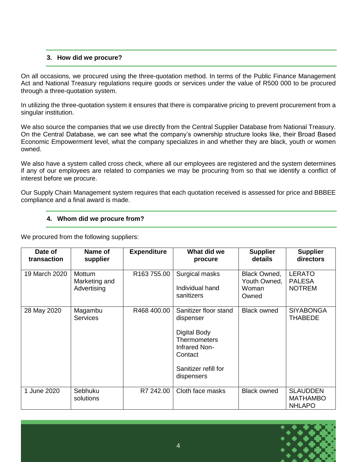#### **3. How did we procure?**

<span id="page-3-0"></span>On all occasions, we procured using the three-quotation method. In terms of the Public Finance Management Act and National Treasury regulations require goods or services under the value of R500 000 to be procured through a three-quotation system.

In utilizing the three-quotation system it ensures that there is comparative pricing to prevent procurement from a singular institution.

We also source the companies that we use directly from the Central Supplier Database from National Treasury. On the Central Database, we can see what the company's ownership structure looks like, their Broad Based Economic Empowerment level, what the company specializes in and whether they are black, youth or women owned.

We also have a system called cross check, where all our employees are registered and the system determines if any of our employees are related to companies we may be procuring from so that we identify a conflict of interest before we procure.

<span id="page-3-1"></span>Our Supply Chain Management system requires that each quotation received is assessed for price and BBBEE compliance and a final award is made.

#### **4. Whom did we procure from?**

We procured from the following suppliers:

| Date of<br>transaction | Name of<br>supplier                           | <b>Expenditure</b> | What did we<br>procure                                                                                                                             | <b>Supplier</b><br>details                            | <b>Supplier</b><br>directors                        |
|------------------------|-----------------------------------------------|--------------------|----------------------------------------------------------------------------------------------------------------------------------------------------|-------------------------------------------------------|-----------------------------------------------------|
| 19 March 2020          | <b>Mottum</b><br>Marketing and<br>Advertising | R163 755.00        | Surgical masks<br>Individual hand<br>sanitizers                                                                                                    | <b>Black Owned,</b><br>Youth Owned,<br>Woman<br>Owned | <b>LERATO</b><br><b>PALESA</b><br><b>NOTREM</b>     |
| 28 May 2020            | Magambu<br><b>Services</b>                    | R468 400.00        | Sanitizer floor stand<br>dispenser<br><b>Digital Body</b><br><b>Thermometers</b><br>Infrared Non-<br>Contact<br>Sanitizer refill for<br>dispensers | <b>Black owned</b>                                    | <b>SIYABONGA</b><br><b>THABEDE</b>                  |
| 1 June 2020            | Sebhuku<br>solutions                          | R7 242.00          | Cloth face masks                                                                                                                                   | <b>Black owned</b>                                    | <b>SLAUDDEN</b><br><b>MATHAMBO</b><br><b>NHLAPO</b> |

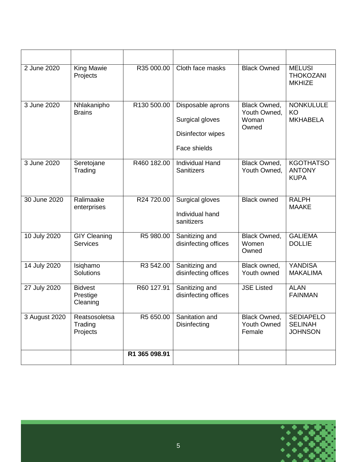| 2 June 2020<br><b>King Mawie</b><br>Projects |                                        | R35 000.00    | Cloth face masks                                                          | <b>Black Owned</b>                                  | <b>MELUSI</b><br><b>THOKOZANI</b><br><b>MKHIZE</b>   |  |
|----------------------------------------------|----------------------------------------|---------------|---------------------------------------------------------------------------|-----------------------------------------------------|------------------------------------------------------|--|
| 3 June 2020                                  | Nhlakanipho<br><b>Brains</b>           | R130 500.00   | Disposable aprons<br>Surgical gloves<br>Disinfector wipes<br>Face shields | Black Owned,<br>Youth Owned,<br>Woman<br>Owned      | <b>NONKULULE</b><br>KO<br><b>MKHABELA</b>            |  |
| 3 June 2020                                  | Seretojane<br>Trading                  | R460 182.00   | <b>Individual Hand</b><br><b>Sanitizers</b>                               | Black Owned,<br>Youth Owned,                        | <b>KGOTHATSO</b><br><b>ANTONY</b><br><b>KUPA</b>     |  |
| 30 June 2020                                 | Ralimaake<br>enterprises               | R24 720.00    | Surgical gloves<br>Individual hand<br>sanitizers                          | <b>Black owned</b>                                  | <b>RALPH</b><br><b>MAAKE</b>                         |  |
| 10 July 2020                                 | <b>GIY Cleaning</b><br><b>Services</b> | R5 980.00     | Sanitizing and<br>disinfecting offices                                    | Black Owned,<br>Women<br>Owned                      | <b>GALIEMA</b><br><b>DOLLIE</b>                      |  |
| 14 July 2020                                 | Isiqhamo<br>Solutions                  | R3 542.00     | Sanitizing and<br>disinfecting offices                                    | Black owned,<br>Youth owned                         | <b>YANDISA</b><br><b>MAKALIMA</b>                    |  |
| 27 July 2020                                 | <b>Bidvest</b><br>Prestige<br>Cleaning | R60 127.91    | Sanitizing and<br>disinfecting offices                                    | <b>JSE Listed</b>                                   | <b>ALAN</b><br><b>FAINMAN</b>                        |  |
| 3 August 2020                                | Reatsosoletsa<br>Trading<br>Projects   | R5 650.00     | Sanitation and<br><b>Disinfecting</b>                                     | <b>Black Owned,</b><br><b>Youth Owned</b><br>Female | <b>SEDIAPELO</b><br><b>SELINAH</b><br><b>JOHNSON</b> |  |
|                                              |                                        | R1 365 098.91 |                                                                           |                                                     |                                                      |  |

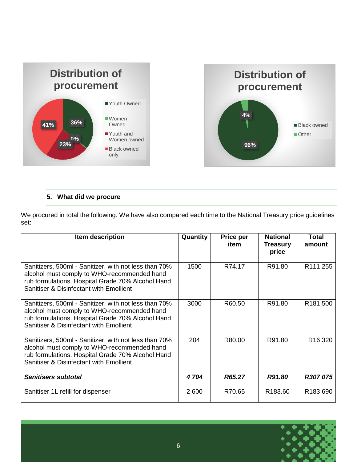

### **5. What did we procure**

<span id="page-5-0"></span>We procured in total the following. We have also compared each time to the National Treasury price guidelines set:

| Item description                                                                                                                                                                                     | Quantity | Price per<br>item | <b>National</b><br>Treasury<br>price | Total<br>amount      |
|------------------------------------------------------------------------------------------------------------------------------------------------------------------------------------------------------|----------|-------------------|--------------------------------------|----------------------|
| Sanitizers, 500ml - Sanitizer, with not less than 70%<br>alcohol must comply to WHO-recommended hand<br>rub formulations. Hospital Grade 70% Alcohol Hand<br>Sanitiser & Disinfectant with Emollient | 1500     | R74.17            | R91.80                               | R <sub>111</sub> 255 |
| Sanitizers, 500ml - Sanitizer, with not less than 70%<br>alcohol must comply to WHO-recommended hand<br>rub formulations. Hospital Grade 70% Alcohol Hand<br>Sanitiser & Disinfectant with Emollient | 3000     | R60.50            | R91.80                               | R181 500             |
| Sanitizers, 500ml - Sanitizer, with not less than 70%<br>alcohol must comply to WHO-recommended hand<br>rub formulations. Hospital Grade 70% Alcohol Hand<br>Sanitiser & Disinfectant with Emollient | 204      | R80.00            | R91.80                               | R <sub>16</sub> 320  |
| <b>Sanitisers subtotal</b>                                                                                                                                                                           | 4 704    | R65.27            | R91.80                               | R307 075             |
| Sanitiser 1L refill for dispenser                                                                                                                                                                    | 2 600    | R70.65            | R <sub>183.60</sub>                  | R183 690             |

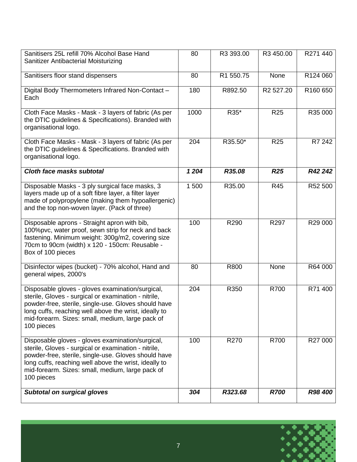| Sanitisers 25L refill 70% Alcohol Base Hand<br>Sanitizer Antibacterial Moisturizing                                                                                                                                                                                                         | 80    | R3 393.00 | R3 450.00             | R271 440 |
|---------------------------------------------------------------------------------------------------------------------------------------------------------------------------------------------------------------------------------------------------------------------------------------------|-------|-----------|-----------------------|----------|
| Sanitisers floor stand dispensers                                                                                                                                                                                                                                                           | 80    | R1 550.75 | None                  | R124 060 |
| Digital Body Thermometers Infrared Non-Contact -<br>Each                                                                                                                                                                                                                                    | 180   | R892.50   | R <sub>2</sub> 527.20 | R160 650 |
| Cloth Face Masks - Mask - 3 layers of fabric (As per<br>the DTIC guidelines & Specifications). Branded with<br>organisational logo.                                                                                                                                                         | 1000  | R35*      | <b>R25</b>            | R35 000  |
| Cloth Face Masks - Mask - 3 layers of fabric (As per<br>the DTIC guidelines & Specifications. Branded with<br>organisational logo.                                                                                                                                                          | 204   | R35.50*   | R <sub>25</sub>       | R7 242   |
| Cloth face masks subtotal                                                                                                                                                                                                                                                                   | 1 204 | R35.08    | <b>R25</b>            | R42 242  |
| Disposable Masks - 3 ply surgical face masks, 3<br>layers made up of a soft fibre layer, a filter layer<br>made of polypropylene (making them hypoallergenic)<br>and the top non-woven layer. (Pack of three)                                                                               | 1 500 | R35.00    | <b>R45</b>            | R52 500  |
| Disposable aprons - Straight apron with bib,<br>100%pvc, water proof, sewn strip for neck and back<br>fastening. Minimum weight: 300g/m2, covering size<br>70cm to 90cm (width) x 120 - 150cm: Reusable -<br>Box of 100 pieces                                                              | 100   | R290      | R297                  | R29 000  |
| Disinfector wipes (bucket) - 70% alcohol, Hand and<br>general wipes, 2000's                                                                                                                                                                                                                 | 80    | R800      | None                  | R64 000  |
| Disposable gloves - gloves examination/surgical,<br>sterile, Gloves - surgical or examination - nitrile,<br>powder-free, sterile, single-use. Gloves should have<br>long cuffs, reaching well above the wrist, ideally to<br>mid-forearm. Sizes: small, medium, large pack of<br>100 pieces | 204   | R350      | R700                  | R71 400  |
| Disposable gloves - gloves examination/surgical,<br>sterile, Gloves - surgical or examination - nitrile,<br>powder-free, sterile, single-use. Gloves should have<br>long cuffs, reaching well above the wrist, ideally to<br>mid-forearm. Sizes: small, medium, large pack of<br>100 pieces | 100   | R270      | R700                  | R27 000  |
| <b>Subtotal on surgical gloves</b>                                                                                                                                                                                                                                                          | 304   | R323.68   | <b>R700</b>           | R98 400  |

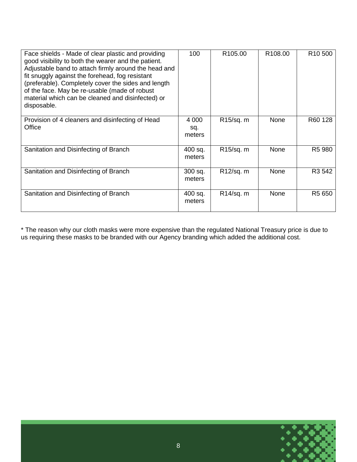| Face shields - Made of clear plastic and providing<br>good visibility to both the wearer and the patient.<br>Adjustable band to attach firmly around the head and<br>fit snuggly against the forehead, fog resistant<br>(preferable). Completely cover the sides and length<br>of the face. May be re-usable (made of robust<br>material which can be cleaned and disinfected) or<br>disposable. | 100                      | R <sub>105.00</sub>    | R <sub>108.00</sub> | R <sub>10</sub> 500 |
|--------------------------------------------------------------------------------------------------------------------------------------------------------------------------------------------------------------------------------------------------------------------------------------------------------------------------------------------------------------------------------------------------|--------------------------|------------------------|---------------------|---------------------|
| Provision of 4 cleaners and disinfecting of Head<br>Office                                                                                                                                                                                                                                                                                                                                       | 4 0 0 0<br>sq.<br>meters | R <sub>15</sub> /sq. m | None                | R60 128             |
| Sanitation and Disinfecting of Branch                                                                                                                                                                                                                                                                                                                                                            | 400 sq.<br>meters        | R15/sq. m              | None                | R <sub>5</sub> 980  |
| Sanitation and Disinfecting of Branch                                                                                                                                                                                                                                                                                                                                                            | 300 sq.<br>meters        | R12/sq. m              | None                | R <sub>3</sub> 542  |
| Sanitation and Disinfecting of Branch                                                                                                                                                                                                                                                                                                                                                            | 400 sq.<br>meters        | R14/sq. m              | None                | R <sub>5</sub> 650  |

\* The reason why our cloth masks were more expensive than the regulated National Treasury price is due to us requiring these masks to be branded with our Agency branding which added the additional cost.